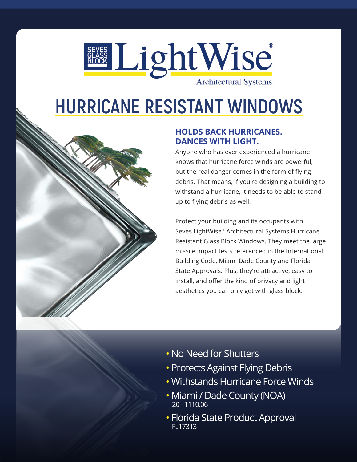

# **HURRICANE RESISTANT WINDOWS**



## **HOLDS BACK HURRICANES. DANCES WITH LIGHT.**

Anyone who has ever experienced a hurricane knows that hurricane force winds are powerful, but the real danger comes in the form of flying debris. That means, if you're designing a building to withstand a hurricane, it needs to be able to stand up to flying debris as well.

Protect your building and its occupants with Seves LightWise® Architectural Systems Hurricane Resistant Glass Block Windows. They meet the large missile impact tests referenced in the International Building Code, Miami Dade County and Florida State Approvals. Plus, they're attractive, easy to install, and offer the kind of privacy and light aesthetics you can only get with glass block.

- No Need for Shutters
- Protects Against Flying Debris
- Withstands Hurricane Force Winds
- Miami / Dade County (NOA) 20 - 1110.06
- Florida State Product Approval FL17313